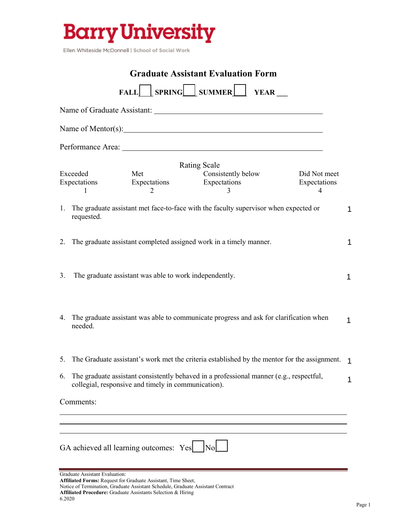

Ellen Whiteside McDonnell | School of Social Work

| <b>Graduate Assistant Evaluation Form</b> |                                                                                                                                                                                    |   |  |
|-------------------------------------------|------------------------------------------------------------------------------------------------------------------------------------------------------------------------------------|---|--|
|                                           | FALL SPRING SUMMER FALL                                                                                                                                                            |   |  |
|                                           |                                                                                                                                                                                    |   |  |
|                                           |                                                                                                                                                                                    |   |  |
|                                           |                                                                                                                                                                                    |   |  |
|                                           | <b>Rating Scale</b><br>Exceeded<br>Consistently below<br>Met<br>Did Not meet<br>Expectations<br>Expectations<br>Expectations<br>Expectations<br>4<br>2<br>1<br>3                   |   |  |
|                                           | 1. The graduate assistant met face-to-face with the faculty supervisor when expected or<br>requested.                                                                              | 1 |  |
|                                           | 2. The graduate assistant completed assigned work in a timely manner.                                                                                                              | 1 |  |
| 3.                                        | The graduate assistant was able to work independently.                                                                                                                             | 1 |  |
|                                           | 4. The graduate assistant was able to communicate progress and ask for clarification when<br>needed.                                                                               | 1 |  |
|                                           | 5. The Graduate assistant's work met the criteria established by the mentor for the assignment. 1                                                                                  |   |  |
| 6.                                        | The graduate assistant consistently behaved in a professional manner (e.g., respectful,<br>collegial, responsive and timely in communication).                                     | 1 |  |
|                                           | Comments:                                                                                                                                                                          |   |  |
|                                           |                                                                                                                                                                                    |   |  |
|                                           | GA achieved all learning outcomes: Yes<br>No                                                                                                                                       |   |  |
|                                           | Graduate Assistant Evaluation:<br>Affiliated Forms: Request for Graduate Assistant, Time Sheet,<br>Notice of Termination, Graduate Assistant Schedule, Graduate Assistant Contract |   |  |

**Affiliated Procedure:** Graduate Assistants Selection & Hiring